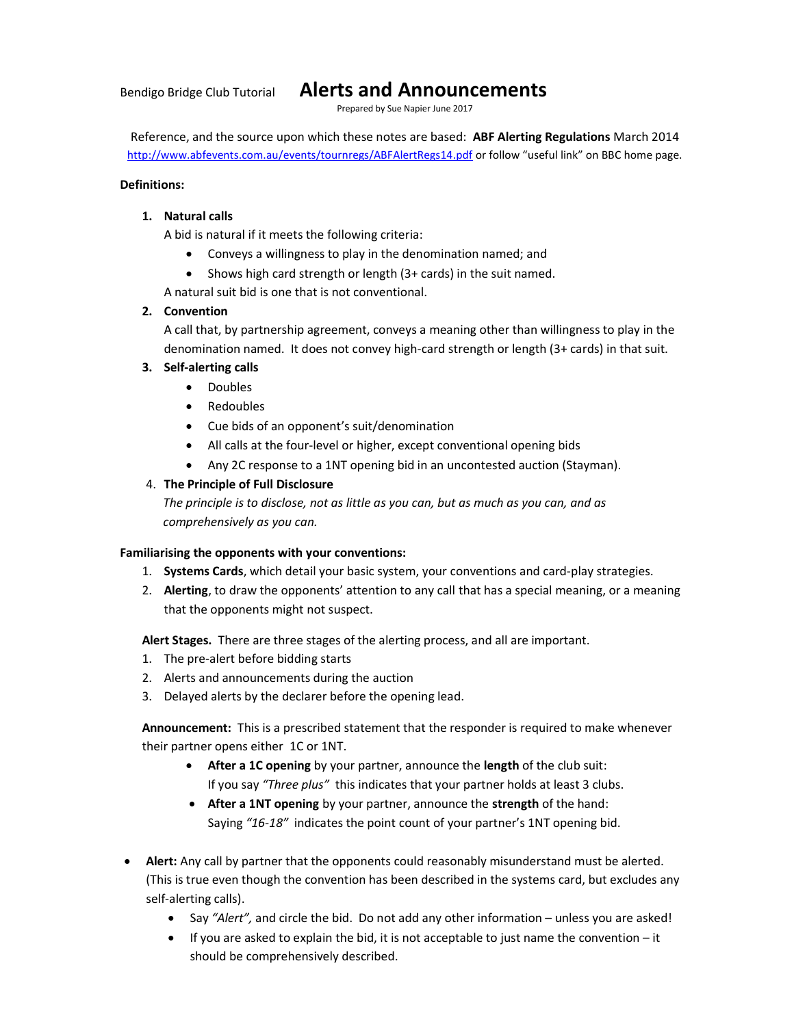# Bendigo Bridge Club Tutorial Alerts and Announcements

Prepared by Sue Napier June 2017

Reference, and the source upon which these notes are based: ABF Alerting Regulations March 2014 http://www.abfevents.com.au/events/tournregs/ABFAlertRegs14.pdf or follow "useful link" on BBC home page.

## Definitions:

# 1. Natural calls

A bid is natural if it meets the following criteria:

- Conveys a willingness to play in the denomination named; and
- Shows high card strength or length (3+ cards) in the suit named.

A natural suit bid is one that is not conventional.

# 2. Convention

A call that, by partnership agreement, conveys a meaning other than willingness to play in the denomination named. It does not convey high-card strength or length (3+ cards) in that suit.

# 3. Self-alerting calls

- Doubles
- Redoubles
- Cue bids of an opponent's suit/denomination
- All calls at the four-level or higher, except conventional opening bids
- Any 2C response to a 1NT opening bid in an uncontested auction (Stayman).

# 4. The Principle of Full Disclosure

The principle is to disclose, not as little as you can, but as much as you can, and as comprehensively as you can.

# Familiarising the opponents with your conventions:

- 1. Systems Cards, which detail your basic system, your conventions and card-play strategies.
- 2. Alerting, to draw the opponents' attention to any call that has a special meaning, or a meaning that the opponents might not suspect.

Alert Stages. There are three stages of the alerting process, and all are important.

- 1. The pre-alert before bidding starts
- 2. Alerts and announcements during the auction
- 3. Delayed alerts by the declarer before the opening lead.

Announcement: This is a prescribed statement that the responder is required to make whenever their partner opens either 1C or 1NT.

- After a 1C opening by your partner, announce the length of the club suit: If you say "Three plus" this indicates that your partner holds at least 3 clubs.
- After a 1NT opening by your partner, announce the strength of the hand: Saying "16-18" indicates the point count of your partner's 1NT opening bid.
- Alert: Any call by partner that the opponents could reasonably misunderstand must be alerted. (This is true even though the convention has been described in the systems card, but excludes any self-alerting calls).
	- Say "Alert", and circle the bid. Do not add any other information unless you are asked!
	- $\bullet$  If you are asked to explain the bid, it is not acceptable to just name the convention it should be comprehensively described.